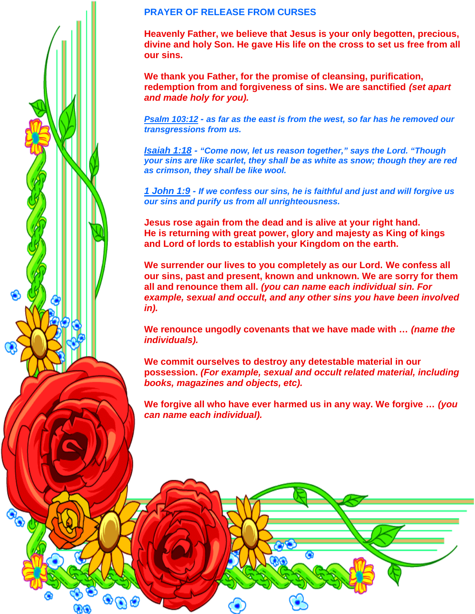## **PRAYER OF RELEASE FROM CURSES**

**Heavenly Father, we believe that Jesus is your only begotten, precious, divine and holy Son. He gave His life on the cross to set us free from all our sins.**

**We thank you Father, for the promise of cleansing, purification, redemption from and forgiveness of sins. We are sanctified** *(set apart and made holy for you).*

*Psalm 103:12 - as far as the east is from the west, so far has he removed our transgressions from us.*

*Isaiah 1:18 - "Come now, let us reason together," says the Lord. "Though your sins are like scarlet, they shall be as white as snow; though they are red as crimson, they shall be like wool.*

*1 John 1:9 - If we confess our sins, he is faithful and just and will forgive us our sins and purify us from all unrighteousness.*

**Jesus rose again from the dead and is alive at your right hand. He is returning with great power, glory and majesty as King of kings and Lord of lords to establish your Kingdom on the earth.**

**We surrender our lives to you completely as our Lord. We confess all our sins, past and present, known and unknown. We are sorry for them all and renounce them all.** *(you can name each individual sin. For example, sexual and occult, and any other sins you have been involved in).*

**We renounce ungodly covenants that we have made with …** *(name the individuals).*

**We commit ourselves to destroy any detestable material in our possession.** *(For example, sexual and occult related material, including books, magazines and objects, etc).*

**We forgive all who have ever harmed us in any way. We forgive …** *(you can name each individual).*

 $\bullet$